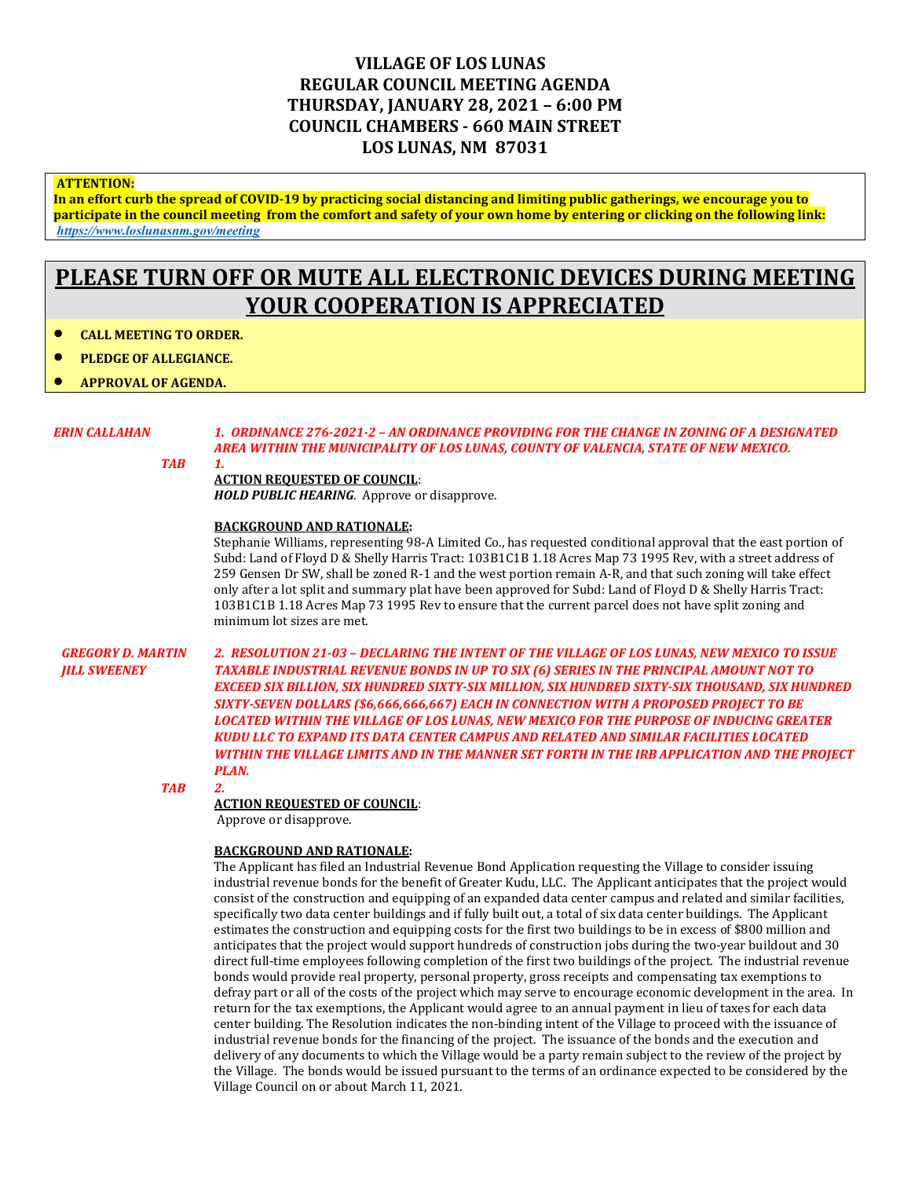## **VILLAGE OF LOS LUNAS REGULAR COUNCIL MEETING AGENDA THURSDAY, JANUARY 28, 2021 – 6:00 PM COUNCIL CHAMBERS - 660 MAIN STREET LOS LUNAS, NM 87031**

### **ATTENTION:**

**In an effort curb the spread of COVID-19 by practicing social distancing and limiting public gatherings, we encourage you to participate in the council meeting from the comfort and safety of your own home by entering or clicking on the following link:** *<https://www.loslunasnm.gov/meeting>*

# **PLEASE TURN OFF OR MUTE ALL ELECTRONIC DEVICES DURING MEETING YOUR COOPERATION IS APPRECIATED**

• **CALL MEETING TO ORDER.**

• **APPROVAL OF AGENDA.**

• **PLEDGE OF ALLEGIANCE.**

*ERIN CALLAHAN 1. ORDINANCE 276-2021-2 – AN ORDINANCE PROVIDING FOR THE CHANGE IN ZONING OF A DESIGNATED AREA WITHIN THE MUNICIPALITY OF LOS LUNAS, COUNTY OF VALENCIA, STATE OF NEW MEXICO.*

*TAB 1.*

### **ACTION REQUESTED OF COUNCIL**:

*HOLD PUBLIC HEARING*. Approve or disapprove.

#### **BACKGROUND AND RATIONALE:**

Stephanie Williams, representing 98-A Limited Co., has requested conditional approval that the east portion of Subd: Land of Floyd D & Shelly Harris Tract: 103B1C1B 1.18 Acres Map 73 1995 Rev, with a street address of 259 Gensen Dr SW, shall be zoned R-1 and the west portion remain A-R, and that such zoning will take effect only after a lot split and summary plat have been approved for Subd: Land of Floyd D & Shelly Harris Tract: 103B1C1B 1.18 Acres Map 73 1995 Rev to ensure that the current parcel does not have split zoning and minimum lot sizes are met.

*GREGORY D. MARTIN 2. RESOLUTION 21-03 – DECLARING THE INTENT OF THE VILLAGE OF LOS LUNAS, NEW MEXICO TO ISSUE JILL SWEENEY TAXABLE INDUSTRIAL REVENUE BONDS IN UP TO SIX (6) SERIES IN THE PRINCIPAL AMOUNT NOT TO EXCEED SIX BILLION, SIX HUNDRED SIXTY-SIX MILLION, SIX HUNDRED SIXTY-SIX THOUSAND, SIX HUNDRED SIXTY-SEVEN DOLLARS (\$6,666,666,667) EACH IN CONNECTION WITH A PROPOSED PROJECT TO BE LOCATED WITHIN THE VILLAGE OF LOS LUNAS, NEW MEXICO FOR THE PURPOSE OF INDUCING GREATER KUDU LLC TO EXPAND ITS DATA CENTER CAMPUS AND RELATED AND SIMILAR FACILITIES LOCATED WITHIN THE VILLAGE LIMITS AND IN THE MANNER SET FORTH IN THE IRB APPLICATION AND THE PROJECT PLAN.*

*TAB 2.*

#### **ACTION REQUESTED OF COUNCIL**:

Approve or disapprove.

### **BACKGROUND AND RATIONALE:**

The Applicant has filed an Industrial Revenue Bond Application requesting the Village to consider issuing industrial revenue bonds for the benefit of Greater Kudu, LLC. The Applicant anticipates that the project would consist of the construction and equipping of an expanded data center campus and related and similar facilities, specifically two data center buildings and if fully built out, a total of six data center buildings. The Applicant estimates the construction and equipping costs for the first two buildings to be in excess of \$800 million and anticipates that the project would support hundreds of construction jobs during the two-year buildout and 30 direct full-time employees following completion of the first two buildings of the project. The industrial revenue bonds would provide real property, personal property, gross receipts and compensating tax exemptions to defray part or all of the costs of the project which may serve to encourage economic development in the area. In return for the tax exemptions, the Applicant would agree to an annual payment in lieu of taxes for each data center building. The Resolution indicates the non-binding intent of the Village to proceed with the issuance of industrial revenue bonds for the financing of the project. The issuance of the bonds and the execution and delivery of any documents to which the Village would be a party remain subject to the review of the project by the Village. The bonds would be issued pursuant to the terms of an ordinance expected to be considered by the Village Council on or about March 11, 2021.